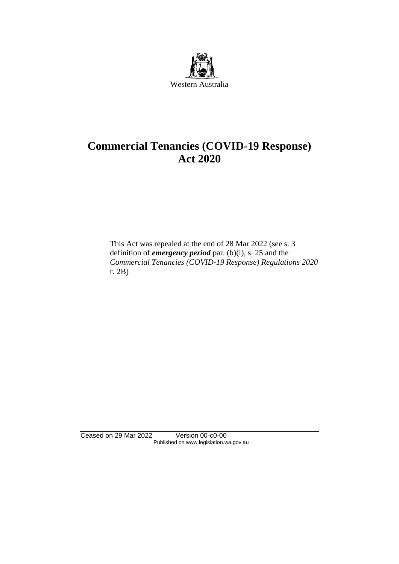

# **Commercial Tenancies (COVID-19 Response) Act 2020**

This Act was repealed at the end of 28 Mar 2022 (see s. 3 definition of *emergency period* par. (b)(i), s. 25 and the *Commercial Tenancies (COVID-19 Response) Regulations 2020* r. 2B)

Ceased on 29 Mar 2022 Version 00-c0-00 Published on www.legislation.wa.gov.au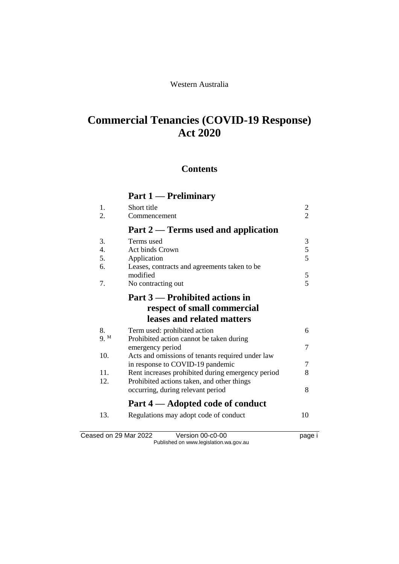### Western Australia

# **Commercial Tenancies (COVID-19 Response) Act 2020**

### **Contents**

|      | Part 1 — Preliminary                              |                |
|------|---------------------------------------------------|----------------|
| 1.   | Short title                                       | $\overline{c}$ |
| 2.   | Commencement                                      | $\overline{2}$ |
|      | Part 2 — Terms used and application               |                |
| 3.   | Terms used                                        | 3              |
| 4.   | <b>Act binds Crown</b>                            | $\mathfrak s$  |
| 5.   | Application                                       | 5              |
| 6.   | Leases, contracts and agreements taken to be      |                |
|      | modified                                          | 5              |
| 7.   | No contracting out                                | 5              |
|      | Part 3 — Prohibited actions in                    |                |
|      | respect of small commercial                       |                |
|      | leases and related matters                        |                |
| 8.   | Term used: prohibited action                      | 6              |
| 9. M | Prohibited action cannot be taken during          |                |
|      | emergency period                                  | 7              |
| 10.  | Acts and omissions of tenants required under law  |                |
|      | in response to COVID-19 pandemic                  | 7              |
| 11.  | Rent increases prohibited during emergency period | 8              |
| 12.  | Prohibited actions taken, and other things        |                |
|      | occurring, during relevant period                 | 8              |
|      | Part 4 — Adopted code of conduct                  |                |
| 13.  | Regulations may adopt code of conduct             | 10             |
|      |                                                   |                |

Ceased on 29 Mar 2022 Version 00-c0-00 version of the page i Published on www.legislation.wa.gov.au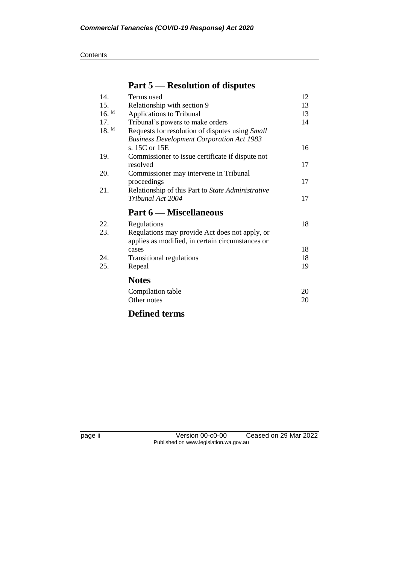|         | $\sim$                                            |    |
|---------|---------------------------------------------------|----|
| 14.     | Terms used                                        | 12 |
| 15.     | Relationship with section 9                       | 13 |
| $16.$ M | Applications to Tribunal                          | 13 |
| 17.     | Tribunal's powers to make orders                  | 14 |
| 18. M   | Requests for resolution of disputes using Small   |    |
|         | <b>Business Development Corporation Act 1983</b>  |    |
|         | s. 15C or 15E                                     | 16 |
| 19.     | Commissioner to issue certificate if dispute not  |    |
|         | resolved                                          | 17 |
| 20.     | Commissioner may intervene in Tribunal            |    |
|         | proceedings                                       | 17 |
| 21.     | Relationship of this Part to State Administrative |    |
|         | Tribunal Act 2004                                 | 17 |
|         | Part 6 — Miscellaneous                            |    |
| 22.     | Regulations                                       | 18 |
| 23.     | Regulations may provide Act does not apply, or    |    |
|         | applies as modified, in certain circumstances or  |    |
|         | cases                                             | 18 |
| 24.     | <b>Transitional regulations</b>                   | 18 |
| 25.     | Repeal                                            | 19 |
|         | <b>Notes</b>                                      |    |
|         | Compilation table                                 | 20 |
|         | Other notes                                       | 20 |
|         |                                                   |    |
|         | <b>Defined terms</b>                              |    |

### **Part 5 — Resolution of disputes**

page ii Version 00-c0-00 Ceased on 29 Mar 2022 Published on www.legislation.wa.gov.au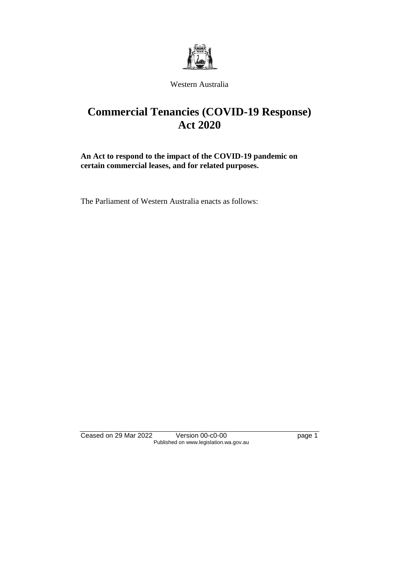

#### Western Australia

# **Commercial Tenancies (COVID-19 Response) Act 2020**

**An Act to respond to the impact of the COVID-19 pandemic on certain commercial leases, and for related purposes.**

The Parliament of Western Australia enacts as follows:

Ceased on 29 Mar 2022 Version 00-c0-00 Page 1 Published on www.legislation.wa.gov.au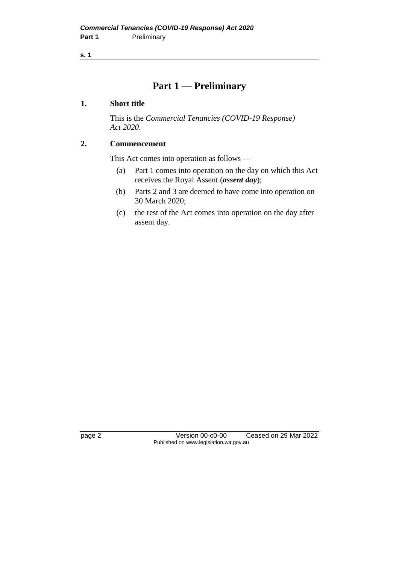### **Part 1 — Preliminary**

#### **1. Short title**

This is the *Commercial Tenancies (COVID-19 Response) Act 2020*.

### **2. Commencement**

This Act comes into operation as follows —

- (a) Part 1 comes into operation on the day on which this Act receives the Royal Assent (*assent day*);
- (b) Parts 2 and 3 are deemed to have come into operation on 30 March 2020;
- (c) the rest of the Act comes into operation on the day after assent day.

page 2 Version 00-c0-00 Ceased on 29 Mar 2022 Published on www.legislation.wa.gov.au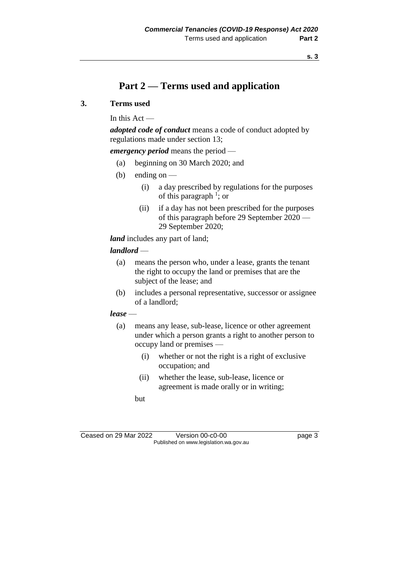## **Part 2 — Terms used and application**

#### **3. Terms used**

In this  $Act -$ 

*adopted code of conduct* means a code of conduct adopted by regulations made under section 13;

*emergency period* means the period —

- (a) beginning on 30 March 2020; and
- (b) ending on  $-$ 
	- (i) a day prescribed by regulations for the purposes of this paragraph  $\frac{1}{2}$ ; or
	- (ii) if a day has not been prescribed for the purposes of this paragraph before 29 September 2020 — 29 September 2020;

*land* includes any part of land;

#### *landlord* —

- (a) means the person who, under a lease, grants the tenant the right to occupy the land or premises that are the subject of the lease; and
- (b) includes a personal representative, successor or assignee of a landlord;

#### *lease* —

- (a) means any lease, sub-lease, licence or other agreement under which a person grants a right to another person to occupy land or premises —
	- (i) whether or not the right is a right of exclusive occupation; and
	- (ii) whether the lease, sub-lease, licence or agreement is made orally or in writing;
	- but

| Ceased on 29 Mar 2022                  | Version 00-c0-00 | page 3 |
|----------------------------------------|------------------|--------|
| Published on www.legislation.wa.gov.au |                  |        |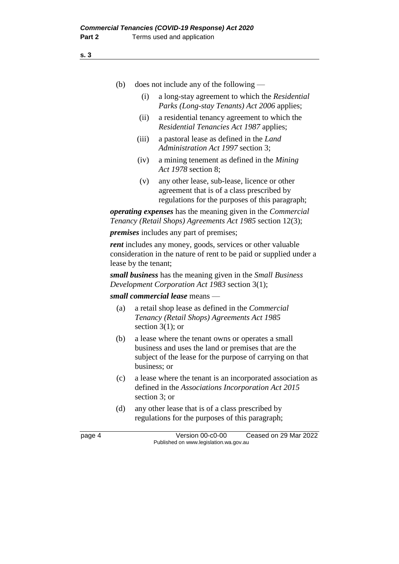- (b) does not include any of the following
	- (i) a long-stay agreement to which the *Residential Parks (Long-stay Tenants) Act 2006* applies;
	- (ii) a residential tenancy agreement to which the *Residential Tenancies Act 1987* applies;
	- (iii) a pastoral lease as defined in the *Land Administration Act 1997* section 3;
	- (iv) a mining tenement as defined in the *Mining Act 1978* section 8;
	- (v) any other lease, sub-lease, licence or other agreement that is of a class prescribed by regulations for the purposes of this paragraph;

*operating expenses* has the meaning given in the *Commercial Tenancy (Retail Shops) Agreements Act 1985* section 12(3);

*premises* includes any part of premises;

*rent* includes any money, goods, services or other valuable consideration in the nature of rent to be paid or supplied under a lease by the tenant;

*small business* has the meaning given in the *Small Business Development Corporation Act 1983* section 3(1);

#### *small commercial lease* means —

- (a) a retail shop lease as defined in the *Commercial Tenancy (Retail Shops) Agreements Act 1985*  section 3(1); or
- (b) a lease where the tenant owns or operates a small business and uses the land or premises that are the subject of the lease for the purpose of carrying on that business; or
- (c) a lease where the tenant is an incorporated association as defined in the *Associations Incorporation Act 2015* section 3; or
- (d) any other lease that is of a class prescribed by regulations for the purposes of this paragraph;

**s. 3**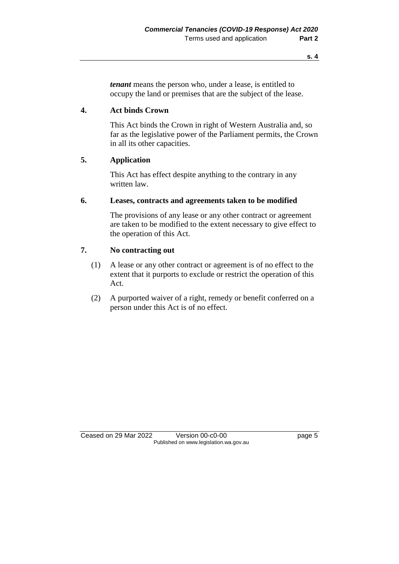*tenant* means the person who, under a lease, is entitled to occupy the land or premises that are the subject of the lease.

#### **4. Act binds Crown**

This Act binds the Crown in right of Western Australia and, so far as the legislative power of the Parliament permits, the Crown in all its other capacities.

#### **5. Application**

This Act has effect despite anything to the contrary in any written law.

#### **6. Leases, contracts and agreements taken to be modified**

The provisions of any lease or any other contract or agreement are taken to be modified to the extent necessary to give effect to the operation of this Act.

#### **7. No contracting out**

- (1) A lease or any other contract or agreement is of no effect to the extent that it purports to exclude or restrict the operation of this Act.
- (2) A purported waiver of a right, remedy or benefit conferred on a person under this Act is of no effect.

Ceased on 29 Mar 2022 Version 00-c0-00 page 5 Published on www.legislation.wa.gov.au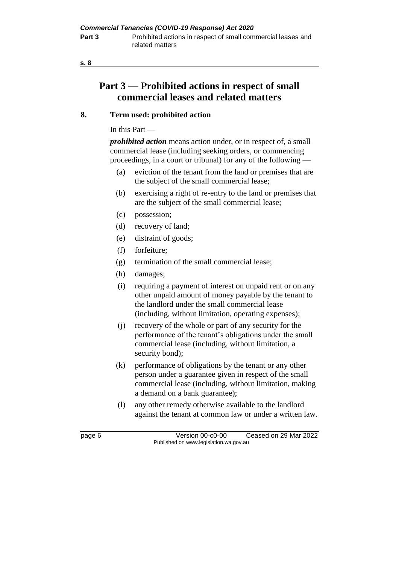## **Part 3 — Prohibited actions in respect of small commercial leases and related matters**

### **8. Term used: prohibited action**

In this Part —

*prohibited action* means action under, or in respect of, a small commercial lease (including seeking orders, or commencing proceedings, in a court or tribunal) for any of the following —

- (a) eviction of the tenant from the land or premises that are the subject of the small commercial lease;
- (b) exercising a right of re-entry to the land or premises that are the subject of the small commercial lease;
- (c) possession;
- (d) recovery of land;
- (e) distraint of goods;
- (f) forfeiture;
- (g) termination of the small commercial lease;
- (h) damages;
- (i) requiring a payment of interest on unpaid rent or on any other unpaid amount of money payable by the tenant to the landlord under the small commercial lease (including, without limitation, operating expenses);
- (j) recovery of the whole or part of any security for the performance of the tenant's obligations under the small commercial lease (including, without limitation, a security bond);
- (k) performance of obligations by the tenant or any other person under a guarantee given in respect of the small commercial lease (including, without limitation, making a demand on a bank guarantee);
- (l) any other remedy otherwise available to the landlord against the tenant at common law or under a written law.

page 6 Version 00-c0-00 Ceased on 29 Mar 2022 Published on www.legislation.wa.gov.au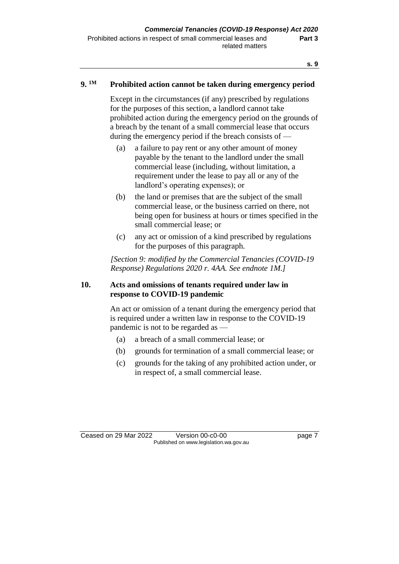#### **9. Prohibited action cannot be taken during emergency period**

Except in the circumstances (if any) prescribed by regulations for the purposes of this section, a landlord cannot take prohibited action during the emergency period on the grounds of a breach by the tenant of a small commercial lease that occurs during the emergency period if the breach consists of —

- (a) a failure to pay rent or any other amount of money payable by the tenant to the landlord under the small commercial lease (including, without limitation, a requirement under the lease to pay all or any of the landlord's operating expenses); or
- (b) the land or premises that are the subject of the small commercial lease, or the business carried on there, not being open for business at hours or times specified in the small commercial lease; or
- (c) any act or omission of a kind prescribed by regulations for the purposes of this paragraph.

*[Section 9: modified by the Commercial Tenancies (COVID-19 Response) Regulations 2020 r. 4AA. See endnote 1M.]*

#### **10. Acts and omissions of tenants required under law in response to COVID-19 pandemic**

An act or omission of a tenant during the emergency period that is required under a written law in response to the COVID-19 pandemic is not to be regarded as —

- (a) a breach of a small commercial lease; or
- (b) grounds for termination of a small commercial lease; or
- (c) grounds for the taking of any prohibited action under, or in respect of, a small commercial lease.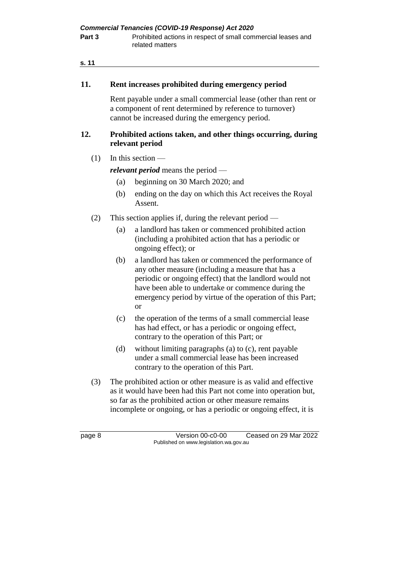| <b>Commercial Tenancies (COVID-19 Response) Act 2020</b> |                                                                                 |  |
|----------------------------------------------------------|---------------------------------------------------------------------------------|--|
| Part 3                                                   | Prohibited actions in respect of small commercial leases and<br>related matters |  |

#### **11. Rent increases prohibited during emergency period**

Rent payable under a small commercial lease (other than rent or a component of rent determined by reference to turnover) cannot be increased during the emergency period.

#### **12. Prohibited actions taken, and other things occurring, during relevant period**

 $(1)$  In this section —

*relevant period* means the period —

- (a) beginning on 30 March 2020; and
- (b) ending on the day on which this Act receives the Royal Assent.
- (2) This section applies if, during the relevant period
	- (a) a landlord has taken or commenced prohibited action (including a prohibited action that has a periodic or ongoing effect); or
	- (b) a landlord has taken or commenced the performance of any other measure (including a measure that has a periodic or ongoing effect) that the landlord would not have been able to undertake or commence during the emergency period by virtue of the operation of this Part; or
	- (c) the operation of the terms of a small commercial lease has had effect, or has a periodic or ongoing effect, contrary to the operation of this Part; or
	- (d) without limiting paragraphs (a) to (c), rent payable under a small commercial lease has been increased contrary to the operation of this Part.
- (3) The prohibited action or other measure is as valid and effective as it would have been had this Part not come into operation but, so far as the prohibited action or other measure remains incomplete or ongoing, or has a periodic or ongoing effect, it is

page 8 Version 00-c0-00 Ceased on 29 Mar 2022 Published on www.legislation.wa.gov.au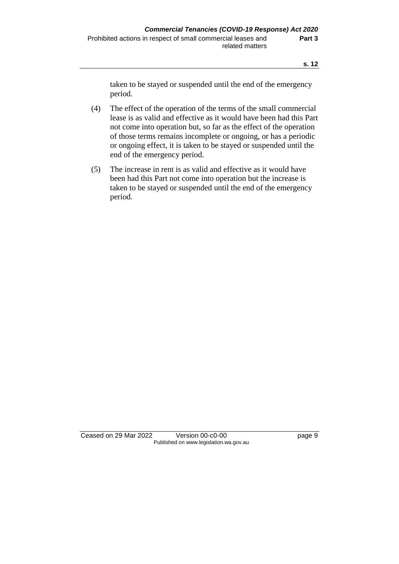taken to be stayed or suspended until the end of the emergency period.

- (4) The effect of the operation of the terms of the small commercial lease is as valid and effective as it would have been had this Part not come into operation but, so far as the effect of the operation of those terms remains incomplete or ongoing, or has a periodic or ongoing effect, it is taken to be stayed or suspended until the end of the emergency period.
- (5) The increase in rent is as valid and effective as it would have been had this Part not come into operation but the increase is taken to be stayed or suspended until the end of the emergency period.

Ceased on 29 Mar 2022 Version 00-c0-00 page 9 Published on www.legislation.wa.gov.au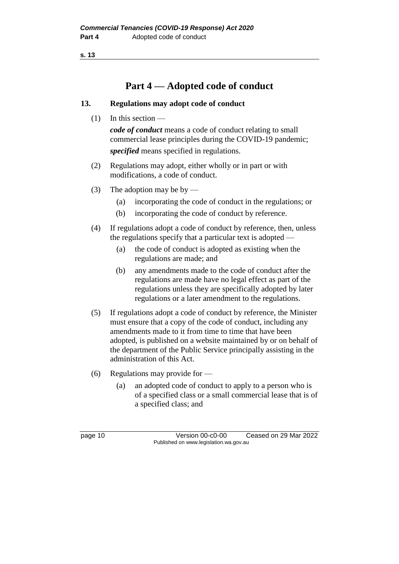## **Part 4 — Adopted code of conduct**

#### **13. Regulations may adopt code of conduct**

(1) In this section —

*code of conduct* means a code of conduct relating to small commercial lease principles during the COVID-19 pandemic; *specified* means specified in regulations.

- (2) Regulations may adopt, either wholly or in part or with modifications, a code of conduct.
- (3) The adoption may be by
	- (a) incorporating the code of conduct in the regulations; or
	- (b) incorporating the code of conduct by reference.
- (4) If regulations adopt a code of conduct by reference, then, unless the regulations specify that a particular text is adopted —
	- (a) the code of conduct is adopted as existing when the regulations are made; and
	- (b) any amendments made to the code of conduct after the regulations are made have no legal effect as part of the regulations unless they are specifically adopted by later regulations or a later amendment to the regulations.
- (5) If regulations adopt a code of conduct by reference, the Minister must ensure that a copy of the code of conduct, including any amendments made to it from time to time that have been adopted, is published on a website maintained by or on behalf of the department of the Public Service principally assisting in the administration of this Act.
- (6) Regulations may provide for
	- (a) an adopted code of conduct to apply to a person who is of a specified class or a small commercial lease that is of a specified class; and

page 10 Version 00-c0-00 Ceased on 29 Mar 2022 Published on www.legislation.wa.gov.au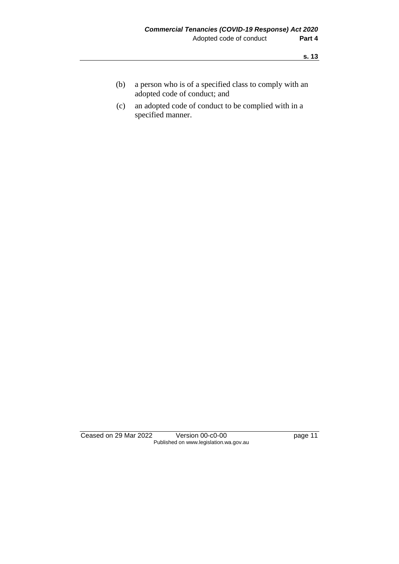- (b) a person who is of a specified class to comply with an adopted code of conduct; and
- (c) an adopted code of conduct to be complied with in a specified manner.

Ceased on 29 Mar 2022 Version 00-c0-00 Page 11 Published on www.legislation.wa.gov.au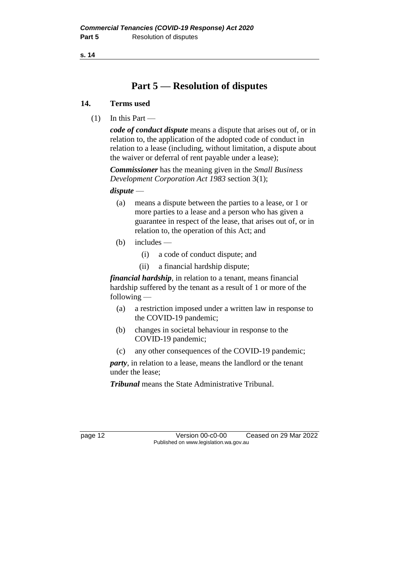## **Part 5 — Resolution of disputes**

#### **14. Terms used**

 $(1)$  In this Part —

*code of conduct dispute* means a dispute that arises out of, or in relation to, the application of the adopted code of conduct in relation to a lease (including, without limitation, a dispute about the waiver or deferral of rent payable under a lease);

*Commissioner* has the meaning given in the *Small Business Development Corporation Act 1983* section 3(1);

*dispute* —

- (a) means a dispute between the parties to a lease, or 1 or more parties to a lease and a person who has given a guarantee in respect of the lease, that arises out of, or in relation to, the operation of this Act; and
- (b) includes
	- (i) a code of conduct dispute; and
	- (ii) a financial hardship dispute;

*financial hardship*, in relation to a tenant, means financial hardship suffered by the tenant as a result of 1 or more of the following —

- (a) a restriction imposed under a written law in response to the COVID-19 pandemic;
- (b) changes in societal behaviour in response to the COVID-19 pandemic;
- (c) any other consequences of the COVID-19 pandemic;

*party*, in relation to a lease, means the landlord or the tenant under the lease;

*Tribunal* means the State Administrative Tribunal.

page 12 Version 00-c0-00 Ceased on 29 Mar 2022 Published on www.legislation.wa.gov.au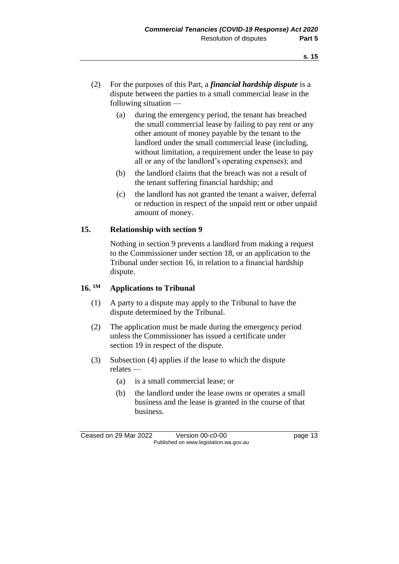- (2) For the purposes of this Part, a *financial hardship dispute* is a dispute between the parties to a small commercial lease in the following situation —
	- (a) during the emergency period, the tenant has breached the small commercial lease by failing to pay rent or any other amount of money payable by the tenant to the landlord under the small commercial lease (including, without limitation, a requirement under the lease to pay all or any of the landlord's operating expenses); and
	- (b) the landlord claims that the breach was not a result of the tenant suffering financial hardship; and
	- (c) the landlord has not granted the tenant a waiver, deferral or reduction in respect of the unpaid rent or other unpaid amount of money.

### **15. Relationship with section 9**

Nothing in section 9 prevents a landlord from making a request to the Commissioner under section 18, or an application to the Tribunal under section 16, in relation to a financial hardship dispute.

#### **16. 1M Applications to Tribunal**

- (1) A party to a dispute may apply to the Tribunal to have the dispute determined by the Tribunal.
- (2) The application must be made during the emergency period unless the Commissioner has issued a certificate under section 19 in respect of the dispute.
- (3) Subsection (4) applies if the lease to which the dispute relates —
	- (a) is a small commercial lease; or
	- (b) the landlord under the lease owns or operates a small business and the lease is granted in the course of that business.

Ceased on 29 Mar 2022 Version 00-c0-00 page 13 Published on www.legislation.wa.gov.au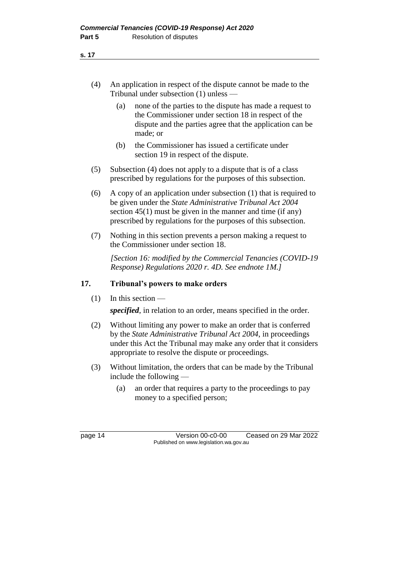- (4) An application in respect of the dispute cannot be made to the Tribunal under subsection (1) unless —
	- (a) none of the parties to the dispute has made a request to the Commissioner under section 18 in respect of the dispute and the parties agree that the application can be made; or
	- (b) the Commissioner has issued a certificate under section 19 in respect of the dispute.
- (5) Subsection (4) does not apply to a dispute that is of a class prescribed by regulations for the purposes of this subsection.
- (6) A copy of an application under subsection (1) that is required to be given under the *State Administrative Tribunal Act 2004* section 45(1) must be given in the manner and time (if any) prescribed by regulations for the purposes of this subsection.
- (7) Nothing in this section prevents a person making a request to the Commissioner under section 18.

*[Section 16: modified by the Commercial Tenancies (COVID-19 Response) Regulations 2020 r. 4D. See endnote 1M.]*

#### **17. Tribunal's powers to make orders**

(1) In this section —

*specified*, in relation to an order, means specified in the order.

- (2) Without limiting any power to make an order that is conferred by the *State Administrative Tribunal Act 2004*, in proceedings under this Act the Tribunal may make any order that it considers appropriate to resolve the dispute or proceedings.
- (3) Without limitation, the orders that can be made by the Tribunal include the following —
	- (a) an order that requires a party to the proceedings to pay money to a specified person;

page 14 Version 00-c0-00 Ceased on 29 Mar 2022 Published on www.legislation.wa.gov.au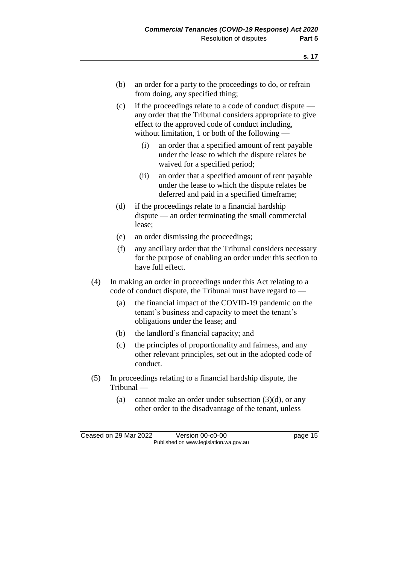- (b) an order for a party to the proceedings to do, or refrain from doing, any specified thing;
- (c) if the proceedings relate to a code of conduct dispute any order that the Tribunal considers appropriate to give effect to the approved code of conduct including, without limitation, 1 or both of the following —
	- (i) an order that a specified amount of rent payable under the lease to which the dispute relates be waived for a specified period;
	- (ii) an order that a specified amount of rent payable under the lease to which the dispute relates be deferred and paid in a specified timeframe;
- (d) if the proceedings relate to a financial hardship dispute — an order terminating the small commercial lease;
- (e) an order dismissing the proceedings;
- (f) any ancillary order that the Tribunal considers necessary for the purpose of enabling an order under this section to have full effect.
- (4) In making an order in proceedings under this Act relating to a code of conduct dispute, the Tribunal must have regard to —
	- (a) the financial impact of the COVID-19 pandemic on the tenant's business and capacity to meet the tenant's obligations under the lease; and
	- (b) the landlord's financial capacity; and
	- (c) the principles of proportionality and fairness, and any other relevant principles, set out in the adopted code of conduct.
- (5) In proceedings relating to a financial hardship dispute, the Tribunal —
	- (a) cannot make an order under subsection  $(3)(d)$ , or any other order to the disadvantage of the tenant, unless

Ceased on 29 Mar 2022 Version 00-c0-00 page 15 Published on www.legislation.wa.gov.au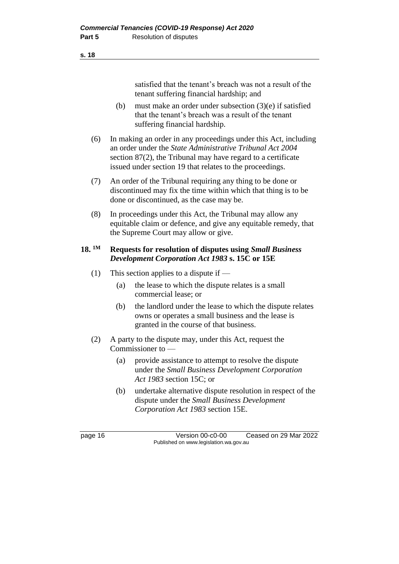satisfied that the tenant's breach was not a result of the tenant suffering financial hardship; and

- (b) must make an order under subsection (3)(e) if satisfied that the tenant's breach was a result of the tenant suffering financial hardship.
- (6) In making an order in any proceedings under this Act, including an order under the *State Administrative Tribunal Act 2004* section 87(2), the Tribunal may have regard to a certificate issued under section 19 that relates to the proceedings.
- (7) An order of the Tribunal requiring any thing to be done or discontinued may fix the time within which that thing is to be done or discontinued, as the case may be.
- (8) In proceedings under this Act, the Tribunal may allow any equitable claim or defence, and give any equitable remedy, that the Supreme Court may allow or give.

#### **18. 1M Requests for resolution of disputes using** *Small Business Development Corporation Act 1983* **s. 15C or 15E**

- (1) This section applies to a dispute if
	- (a) the lease to which the dispute relates is a small commercial lease; or
	- (b) the landlord under the lease to which the dispute relates owns or operates a small business and the lease is granted in the course of that business.
- (2) A party to the dispute may, under this Act, request the Commissioner to —
	- (a) provide assistance to attempt to resolve the dispute under the *Small Business Development Corporation Act 1983* section 15C; or
	- (b) undertake alternative dispute resolution in respect of the dispute under the *Small Business Development Corporation Act 1983* section 15E.

page 16 Version 00-c0-00 Ceased on 29 Mar 2022 Published on www.legislation.wa.gov.au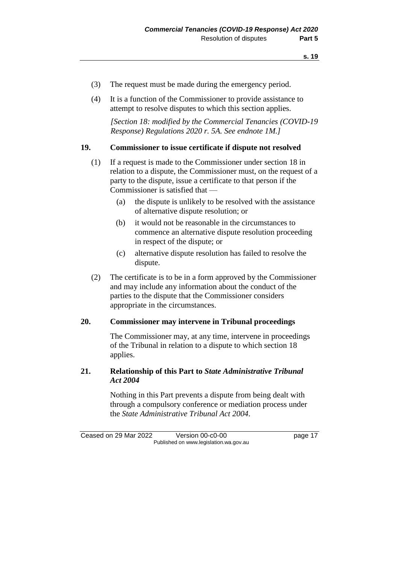- (3) The request must be made during the emergency period.
- (4) It is a function of the Commissioner to provide assistance to attempt to resolve disputes to which this section applies.

*[Section 18: modified by the Commercial Tenancies (COVID-19 Response) Regulations 2020 r. 5A. See endnote 1M.]*

#### **19. Commissioner to issue certificate if dispute not resolved**

- (1) If a request is made to the Commissioner under section 18 in relation to a dispute, the Commissioner must, on the request of a party to the dispute, issue a certificate to that person if the Commissioner is satisfied that —
	- (a) the dispute is unlikely to be resolved with the assistance of alternative dispute resolution; or
	- (b) it would not be reasonable in the circumstances to commence an alternative dispute resolution proceeding in respect of the dispute; or
	- (c) alternative dispute resolution has failed to resolve the dispute.
- (2) The certificate is to be in a form approved by the Commissioner and may include any information about the conduct of the parties to the dispute that the Commissioner considers appropriate in the circumstances.

#### **20. Commissioner may intervene in Tribunal proceedings**

The Commissioner may, at any time, intervene in proceedings of the Tribunal in relation to a dispute to which section 18 applies.

#### **21. Relationship of this Part to** *State Administrative Tribunal Act 2004*

Nothing in this Part prevents a dispute from being dealt with through a compulsory conference or mediation process under the *State Administrative Tribunal Act 2004*.

Ceased on 29 Mar 2022 Version 00-c0-00 page 17 Published on www.legislation.wa.gov.au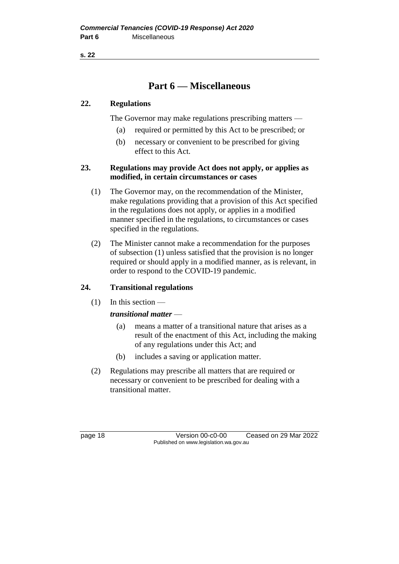### **Part 6 — Miscellaneous**

#### **22. Regulations**

The Governor may make regulations prescribing matters —

- (a) required or permitted by this Act to be prescribed; or
- (b) necessary or convenient to be prescribed for giving effect to this Act.

#### **23. Regulations may provide Act does not apply, or applies as modified, in certain circumstances or cases**

- (1) The Governor may, on the recommendation of the Minister, make regulations providing that a provision of this Act specified in the regulations does not apply, or applies in a modified manner specified in the regulations, to circumstances or cases specified in the regulations.
- (2) The Minister cannot make a recommendation for the purposes of subsection (1) unless satisfied that the provision is no longer required or should apply in a modified manner, as is relevant, in order to respond to the COVID-19 pandemic.

#### **24. Transitional regulations**

 $(1)$  In this section —

#### *transitional matter* —

- (a) means a matter of a transitional nature that arises as a result of the enactment of this Act, including the making of any regulations under this Act; and
- (b) includes a saving or application matter.
- (2) Regulations may prescribe all matters that are required or necessary or convenient to be prescribed for dealing with a transitional matter.

page 18 Version 00-c0-00 Ceased on 29 Mar 2022 Published on www.legislation.wa.gov.au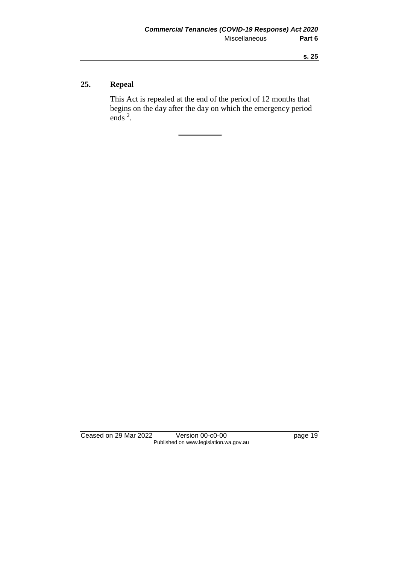### **25. Repeal**

This Act is repealed at the end of the period of 12 months that begins on the day after the day on which the emergency period ends  $2$ .

Ceased on 29 Mar 2022 Version 00-c0-00 Page 19 Published on www.legislation.wa.gov.au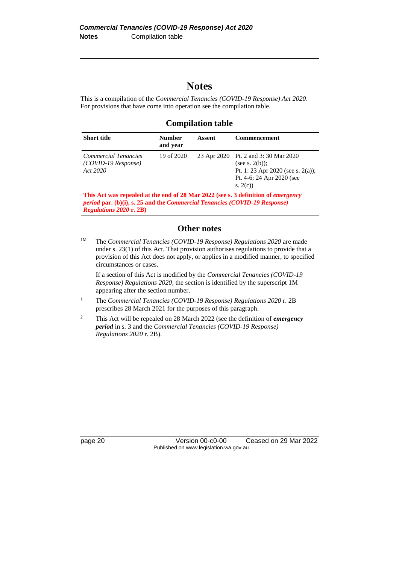### **Notes**

This is a compilation of the *Commercial Tenancies (COVID-19 Response) Act 2020*. For provisions that have come into operation see the compilation table.

**Compilation table**

| <b>Short title</b>                                        | <b>Number</b><br>and year | Assent | <b>Commencement</b>                                                                                                                     |
|-----------------------------------------------------------|---------------------------|--------|-----------------------------------------------------------------------------------------------------------------------------------------|
| Commercial Tenancies<br>$(COVID-19$ Response)<br>Act 2020 | 19 of 2020                |        | 23 Apr 2020 Pt. 2 and 3:30 Mar 2020<br>(see s. $2(b)$ );<br>Pt. 1: 23 Apr 2020 (see s. 2(a));<br>Pt. 4-6: 24 Apr 2020 (see<br>s. $2(c)$ |
|                                                           |                           |        |                                                                                                                                         |

**This Act was repealed at the end of 28 Mar 2022 (see s. 3 definition of** *emergency period* **par. (b)(i), s. 25 and the** *Commercial Tenancies (COVID-19 Response) Regulations 2020* **r. 2B)**

#### **Other notes**

<sup>1M</sup> The *Commercial Tenancies (COVID-19 Response) Regulations 2020* are made under s. 23(1) of this Act. That provision authorises regulations to provide that a provision of this Act does not apply, or applies in a modified manner, to specified circumstances or cases.

If a section of this Act is modified by the *Commercial Tenancies (COVID-19 Response) Regulations 2020*, the section is identified by the superscript 1M appearing after the section number.

- <sup>1</sup> The *Commercial Tenancies (COVID-19 Response) Regulations 2020* r. 2B prescribes 28 March 2021 for the purposes of this paragraph.
- <sup>2</sup> This Act will be repealed on 28 March 2022 (see the definition of *emergency period* in s. 3 and the *Commercial Tenancies (COVID-19 Response) Regulations 2020* r. 2B).

page 20 Version 00-c0-00 Ceased on 29 Mar 2022 Published on www.legislation.wa.gov.au